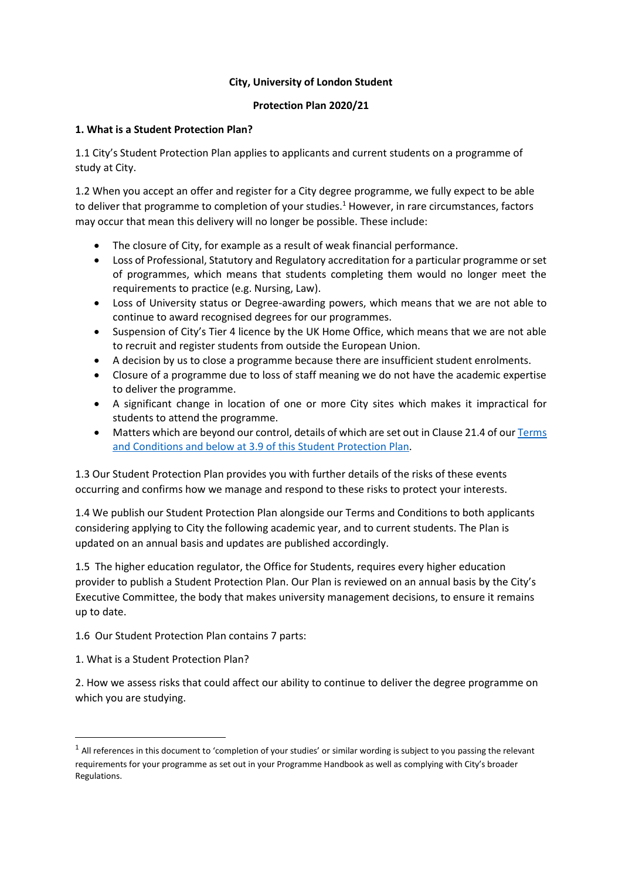#### **City, University of London Student**

#### **Protection Plan 2020/21**

#### **1. What is a Student Protection Plan?**

1.1 City's Student Protection Plan applies to applicants and current students on a programme of study at City.

1.2 When you accept an offer and register for a City degree programme, we fully expect to be able to deliver that programme to completion of your studies.<sup>1</sup> However, in rare circumstances, factors may occur that mean this delivery will no longer be possible. These include:

- The closure of City, for example as a result of weak financial performance.
- Loss of Professional, Statutory and Regulatory accreditation for a particular programme or set of programmes, which means that students completing them would no longer meet the requirements to practice (e.g. Nursing, Law).
- Loss of University status or Degree-awarding powers, which means that we are not able to continue to award recognised degrees for our programmes.
- Suspension of City's Tier 4 licence by the UK Home Office, which means that we are not able to recruit and register students from outside the European Union.
- A decision by us to close a programme because there are insufficient student enrolments.
- Closure of a programme due to loss of staff meaning we do not have the academic expertise to deliver the programme.
- A significant change in location of one or more City sites which makes it impractical for students to attend the programme.
- Matters which are beyond our control, details of which are set out in Clause 21.4 of our Terms [and Conditions](https://www.city.ac.uk/about/governance/legal/terms) and below at 3.9 of this Student Protection Plan.

1.3 Our Student Protection Plan provides you with further details of the risks of these events occurring and confirms how we manage and respond to these risks to protect your interests.

1.4 We publish our Student Protection Plan alongside our Terms and Conditions to both applicants considering applying to City the following academic year, and to current students. The Plan is updated on an annual basis and updates are published accordingly.

1.5 The higher education regulator, the Office for Students, requires every higher education provider to publish a Student Protection Plan. Our Plan is reviewed on an annual basis by the City's Executive Committee, the body that makes university management decisions, to ensure it remains up to date.

1.6 Our Student Protection Plan contains 7 parts:

1. What is a Student Protection Plan?

**.** 

2. How we assess risks that could affect our ability to continue to deliver the degree programme on which you are studying.

 $<sup>1</sup>$  All references in this document to 'completion of your studies' or similar wording is subject to you passing the relevant</sup> requirements for your programme as set out in your Programme Handbook as well as complying with City's broader Regulations.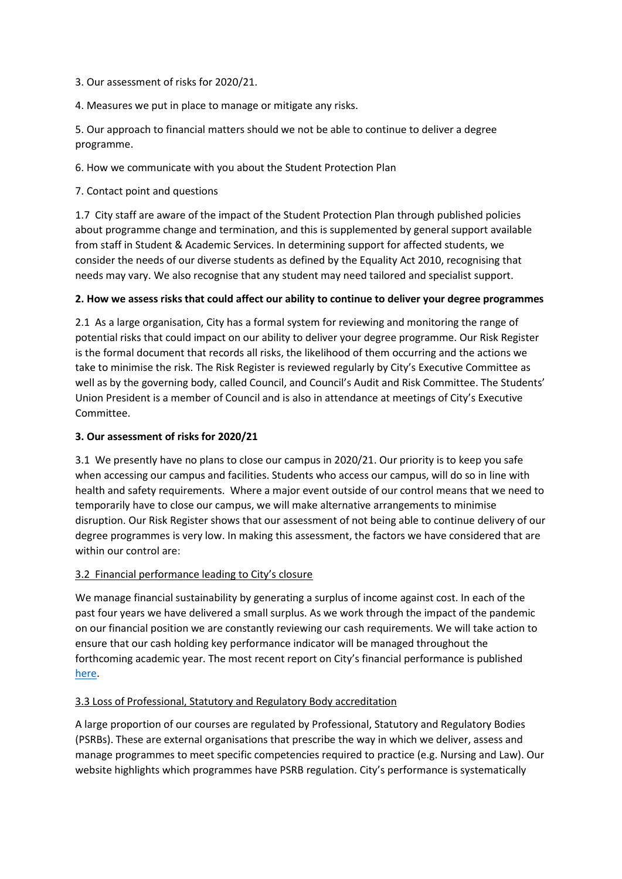- 3. Our assessment of risks for 2020/21.
- 4. Measures we put in place to manage or mitigate any risks.

5. Our approach to financial matters should we not be able to continue to deliver a degree programme.

6. How we communicate with you about the Student Protection Plan

7. Contact point and questions

1.7 City staff are aware of the impact of the Student Protection Plan through published policies about programme change and termination, and this is supplemented by general support available from staff in Student & Academic Services. In determining support for affected students, we consider the needs of our diverse students as defined by the Equality Act 2010, recognising that needs may vary. We also recognise that any student may need tailored and specialist support.

## **2. How we assess risks that could affect our ability to continue to deliver your degree programmes**

2.1 As a large organisation, City has a formal system for reviewing and monitoring the range of potential risks that could impact on our ability to deliver your degree programme. Our Risk Register is the formal document that records all risks, the likelihood of them occurring and the actions we take to minimise the risk. The Risk Register is reviewed regularly by City's Executive Committee as well as by the governing body, called Council, and Council's Audit and Risk Committee. The Students' Union President is a member of Council and is also in attendance at meetings of City's Executive Committee.

#### **3. Our assessment of risks for 2020/21**

3.1 We presently have no plans to close our campus in 2020/21. Our priority is to keep you safe when accessing our campus and facilities. Students who access our campus, will do so in line with health and safety requirements. Where a major event outside of our control means that we need to temporarily have to close our campus, we will make alternative arrangements to minimise disruption. Our Risk Register shows that our assessment of not being able to continue delivery of our degree programmes is very low. In making this assessment, the factors we have considered that are within our control are:

## 3.2 Financial performance leading to City's closure

We manage financial sustainability by generating a surplus of income against cost. In each of the past four years we have delivered a small surplus. As we work through the impact of the pandemic on our financial position we are constantly reviewing our cash requirements. We will take action to ensure that our cash holding key performance indicator will be managed throughout the forthcoming academic year. The most recent report on City's financial performance is published [here.](https://www.city.ac.uk/about/governance/finance/financial-statements)

## 3.3 Loss of Professional, Statutory and Regulatory Body accreditation

A large proportion of our courses are regulated by Professional, Statutory and Regulatory Bodies (PSRBs). These are external organisations that prescribe the way in which we deliver, assess and manage programmes to meet specific competencies required to practice (e.g. Nursing and Law). Our website highlights which programmes have PSRB regulation. City's performance is systematically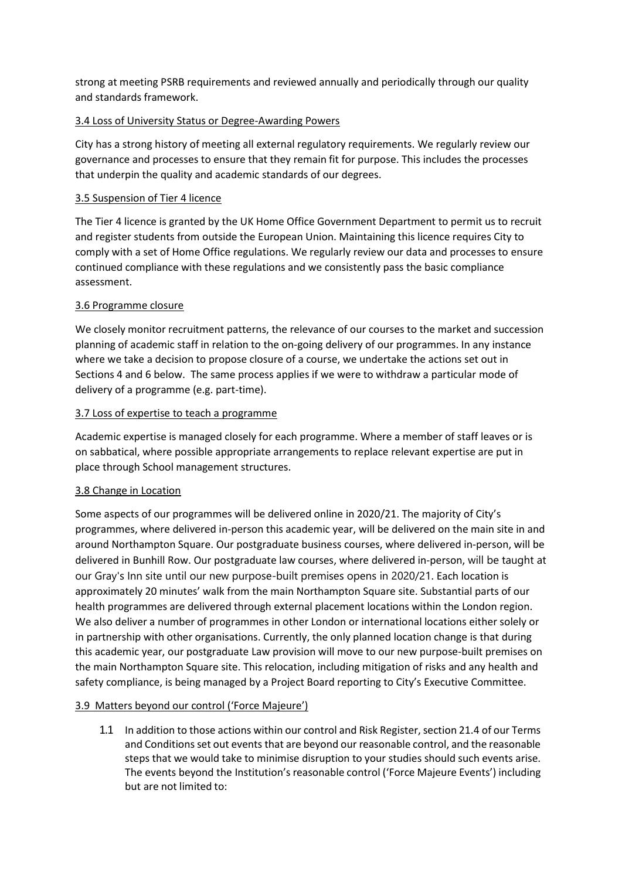strong at meeting PSRB requirements and reviewed annually and periodically through our quality and standards framework.

## 3.4 Loss of University Status or Degree-Awarding Powers

City has a strong history of meeting all external regulatory requirements. We regularly review our governance and processes to ensure that they remain fit for purpose. This includes the processes that underpin the quality and academic standards of our degrees.

# 3.5 Suspension of Tier 4 licence

The Tier 4 licence is granted by the UK Home Office Government Department to permit us to recruit and register students from outside the European Union. Maintaining this licence requires City to comply with a set of Home Office regulations. We regularly review our data and processes to ensure continued compliance with these regulations and we consistently pass the basic compliance assessment.

# 3.6 Programme closure

We closely monitor recruitment patterns, the relevance of our courses to the market and succession planning of academic staff in relation to the on-going delivery of our programmes. In any instance where we take a decision to propose closure of a course, we undertake the actions set out in Sections 4 and 6 below. The same process applies if we were to withdraw a particular mode of delivery of a programme (e.g. part-time).

## 3.7 Loss of expertise to teach a programme

Academic expertise is managed closely for each programme. Where a member of staff leaves or is on sabbatical, where possible appropriate arrangements to replace relevant expertise are put in place through School management structures.

## 3.8 Change in Location

Some aspects of our programmes will be delivered online in 2020/21. The majority of City's programmes, where delivered in-person this academic year, will be delivered on the main site in and around Northampton Square. Our postgraduate business courses, where delivered in-person, will be delivered in Bunhill Row. Our postgraduate law courses, where delivered in-person, will be taught at our Gray's Inn site until our new purpose-built premises opens in 2020/21. Each location is approximately 20 minutes' walk from the main Northampton Square site. Substantial parts of our health programmes are delivered through external placement locations within the London region. We also deliver a number of programmes in other London or international locations either solely or in partnership with other organisations. Currently, the only planned location change is that during this academic year, our postgraduate Law provision will move to our new purpose-built premises on the main Northampton Square site. This relocation, including mitigation of risks and any health and safety compliance, is being managed by a Project Board reporting to City's Executive Committee.

## 3.9 Matters beyond our control ('Force Majeure')

1.1 In addition to those actions within our control and Risk Register, section 21.4 of our Terms and Conditions set out events that are beyond our reasonable control, and the reasonable steps that we would take to minimise disruption to your studies should such events arise. The events beyond the Institution's reasonable control ('Force Majeure Events') including but are not limited to: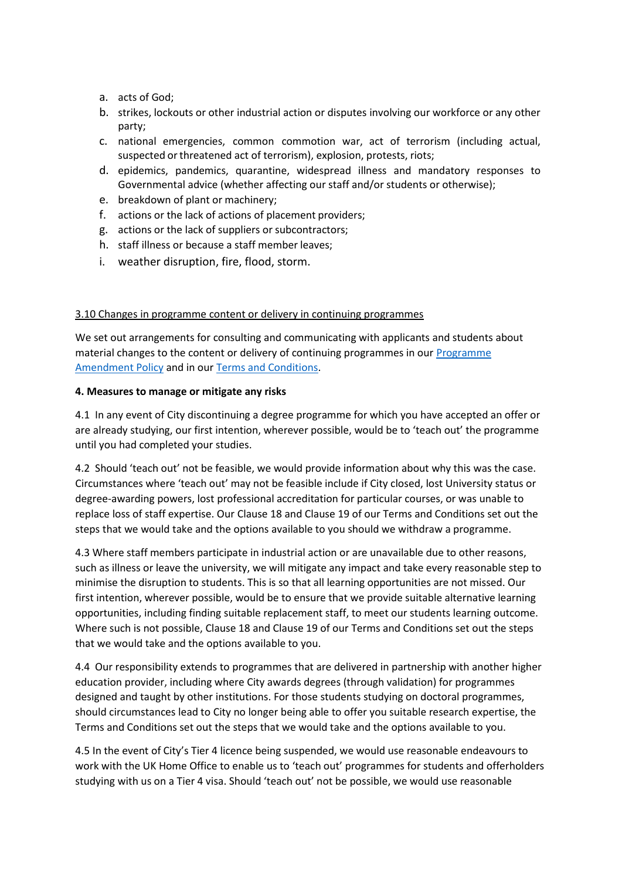- a. acts of God;
- b. strikes, lockouts or other industrial action or disputes involving our workforce or any other party;
- c. national emergencies, common commotion war, act of terrorism (including actual, suspected or threatened act of terrorism), explosion, protests, riots;
- d. epidemics, pandemics, quarantine, widespread illness and mandatory responses to Governmental advice (whether affecting our staff and/or students or otherwise);
- e. breakdown of plant or machinery;
- f. actions or the lack of actions of placement providers;
- g. actions or the lack of suppliers or subcontractors;
- h. staff illness or because a staff member leaves;
- i. weather disruption, fire, flood, storm.

## 3.10 Changes in programme content or delivery in continuing programmes

We set out arrangements for consulting and communicating with applicants and students about material changes to the content or delivery of continuing programmes in ou[r Programme](https://www.city.ac.uk/__data/assets/pdf_file/0010/386434/Amendments_of_a_programme.pdf)  [Amendment Policy](https://www.city.ac.uk/__data/assets/pdf_file/0010/386434/Amendments_of_a_programme.pdf) and in our [Terms and Conditions.](https://www.city.ac.uk/about/governance/legal/terms)

## **4. Measures to manage or mitigate any risks**

4.1 In any event of City discontinuing a degree programme for which you have accepted an offer or are already studying, our first intention, wherever possible, would be to 'teach out' the programme until you had completed your studies.

4.2 Should 'teach out' not be feasible, we would provide information about why this was the case. Circumstances where 'teach out' may not be feasible include if City closed, lost University status or degree-awarding powers, lost professional accreditation for particular courses, or was unable to replace loss of staff expertise. Our Clause 18 and Clause 19 of our Terms and Conditions set out the steps that we would take and the options available to you should we withdraw a programme.

4.3 Where staff members participate in industrial action or are unavailable due to other reasons, such as illness or leave the university, we will mitigate any impact and take every reasonable step to minimise the disruption to students. This is so that all learning opportunities are not missed. Our first intention, wherever possible, would be to ensure that we provide suitable alternative learning opportunities, including finding suitable replacement staff, to meet our students learning outcome. Where such is not possible, Clause 18 and Clause 19 of our Terms and Conditions set out the steps that we would take and the options available to you.

4.4 Our responsibility extends to programmes that are delivered in partnership with another higher education provider, including where City awards degrees (through validation) for programmes designed and taught by other institutions. For those students studying on doctoral programmes, should circumstances lead to City no longer being able to offer you suitable research expertise, the Terms and Conditions set out the steps that we would take and the options available to you.

4.5 In the event of City's Tier 4 licence being suspended, we would use reasonable endeavours to work with the UK Home Office to enable us to 'teach out' programmes for students and offerholders studying with us on a Tier 4 visa. Should 'teach out' not be possible, we would use reasonable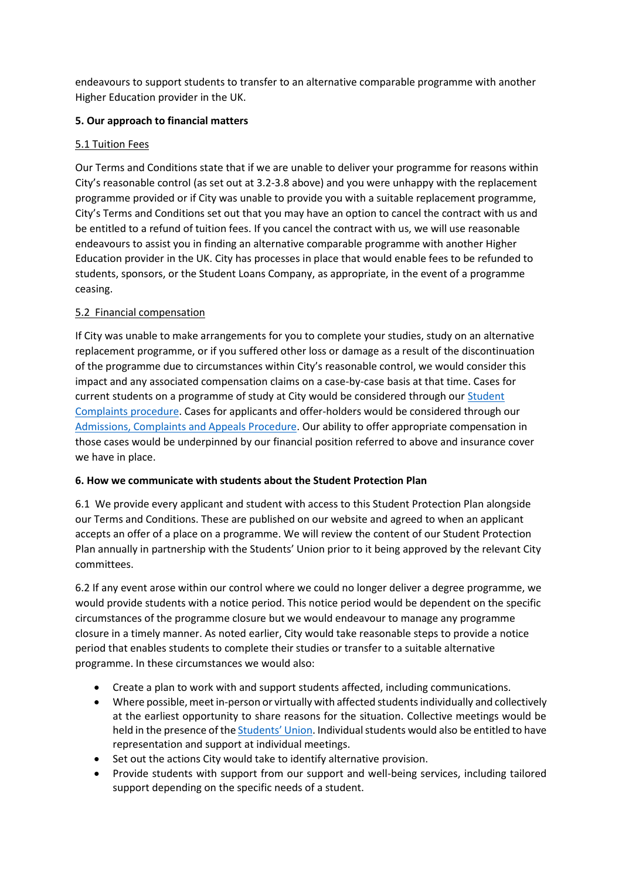endeavours to support students to transfer to an alternative comparable programme with another Higher Education provider in the UK.

## **5. Our approach to financial matters**

## 5.1 Tuition Fees

Our Terms and Conditions state that if we are unable to deliver your programme for reasons within City's reasonable control (as set out at 3.2-3.8 above) and you were unhappy with the replacement programme provided or if City was unable to provide you with a suitable replacement programme, City's Terms and Conditions set out that you may have an option to cancel the contract with us and be entitled to a refund of tuition fees. If you cancel the contract with us, we will use reasonable endeavours to assist you in finding an alternative comparable programme with another Higher Education provider in the UK. City has processes in place that would enable fees to be refunded to students, sponsors, or the Student Loans Company, as appropriate, in the event of a programme ceasing.

# 5.2 Financial compensation

If City was unable to make arrangements for you to complete your studies, study on an alternative replacement programme, or if you suffered other loss or damage as a result of the discontinuation of the programme due to circumstances within City's reasonable control, we would consider this impact and any associated compensation claims on a case-by-case basis at that time. Cases for current students on a programme of study at City would be considered through ou[r Student](https://www.city.ac.uk/__data/assets/pdf_file/0006/69027/Student_complaints_policy-Dec-2017.pdf)  [Complaints procedure.](https://www.city.ac.uk/__data/assets/pdf_file/0006/69027/Student_complaints_policy-Dec-2017.pdf) Cases for applicants and offer-holders would be considered through our [Admissions, Complaints](https://www.city.ac.uk/__data/assets/pdf_file/0010/429832/Admissions-Complaints-and-Appeals-Procedure-FINALv2.pdf) and Appeals Procedure. Our ability to offer appropriate compensation in those cases would be underpinned by our financial position referred to above and insurance cover we have in place.

## **6. How we communicate with students about the Student Protection Plan**

6.1 We provide every applicant and student with access to this Student Protection Plan alongside our Terms and Conditions. These are published on our website and agreed to when an applicant accepts an offer of a place on a programme. We will review the content of our Student Protection Plan annually in partnership with the Students' Union prior to it being approved by the relevant City committees.

6.2 If any event arose within our control where we could no longer deliver a degree programme, we would provide students with a notice period. This notice period would be dependent on the specific circumstances of the programme closure but we would endeavour to manage any programme closure in a timely manner. As noted earlier, City would take reasonable steps to provide a notice period that enables students to complete their studies or transfer to a suitable alternative programme. In these circumstances we would also:

- Create a plan to work with and support students affected, including communications.
- Where possible, meet in-person or virtually with affected students individually and collectively at the earliest opportunity to share reasons for the situation. Collective meetings would be held in the presence of the [Students'](https://www.citystudents.co.uk/advice/) Union. Individual students would also be entitled to have representation and support at individual meetings.
- Set out the actions City would take to identify alternative provision.
- Provide students with support from our support and well-being services, including tailored support depending on the specific needs of a student.